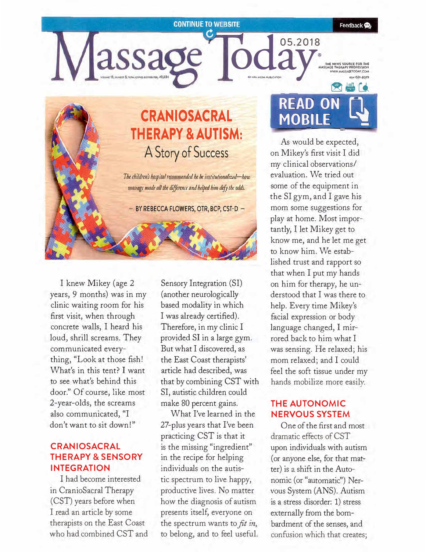#### **CONTINUE TO WEBSITE**

Feedback **O** 

# **CRANIOSACRAL THERAPY & AUTISM: A Story of Success**

assage

*The children's hospital recommended he be institutionalized-how massage made all the difference and helped him defy the odds.* 

 $-$  BY REBECCA FLOWERS, OTR, BCP, CST-D  $-$ 

I knew Mikey (age 2 years, 9 months) was in my clinic waiting room for his first visit, when through concrete walls, I heard his loud, shrill screams. They communicated everything, "Look at those fish! What's in this tent? I want to see what's behind this door." Of course, like most 2-year-olds, the screams also communicated, "I don't want to sit down!"

## **CRAN IOSACRAL THERAPY & SENSORY INTEGRATION**

I had become interested in CranioSacral Therapy ( CST) years before when I read an article by some therapists on the East Coast who had combined CST and

Sensory Integration (SI) (another neurologically based modality in which I was already certified). Therefore, in my clinic I provided SI in a large gym. But what I discovered, as the East Coast therapists' article had described, was that by combining CST with SI, autistic children could make 80 percent gains.

What I've learned in the 27-plus years that I've been practicing CST is that it is the missing "ingredient" in the recipe for helping individuals on the autistic spectrum to live happy, productive lives. No matter how the diagnosis of autism presents itself, everyone on the spectrum wants to *fit in,* to belong, and to feel useful.

**256 READ ON MOBILE** -- - -

**®** 

d **05.2018** 

**THE NEWS SOURCE FOR THE ARY SOURCE FOR THE ARY PROFESSION** 

As would be expected, on Mikey's first visit I did my clinical observations/ evaluation. We tried out some of the equipment in the SI gym, and I gave his mom some suggestions for play at home. Most importantly, I let Mikey get to know me, and he let me get to know him. We established trust and rapport so that when I put my hands on him for therapy, he understood that I was there to help. Every time Mikey's facial expression or body language changed, 1 mirrored back to him what I was sensing. He relaxed; his mom relaxed; and I could feel the soft tissue under my hands mobilize more easily.

## **THE AUTONOMIC NERVOUS SYSTEM**

One of the first and most dramatic effects of CST upon individuals with autism ( or anyone else, for that matter) is a shift in the Autonomic (or "automatic") Nervous System (ANS). Autism is a stress disorder: 1) stress externally from the bombardment of the senses, and confusion which that creates;